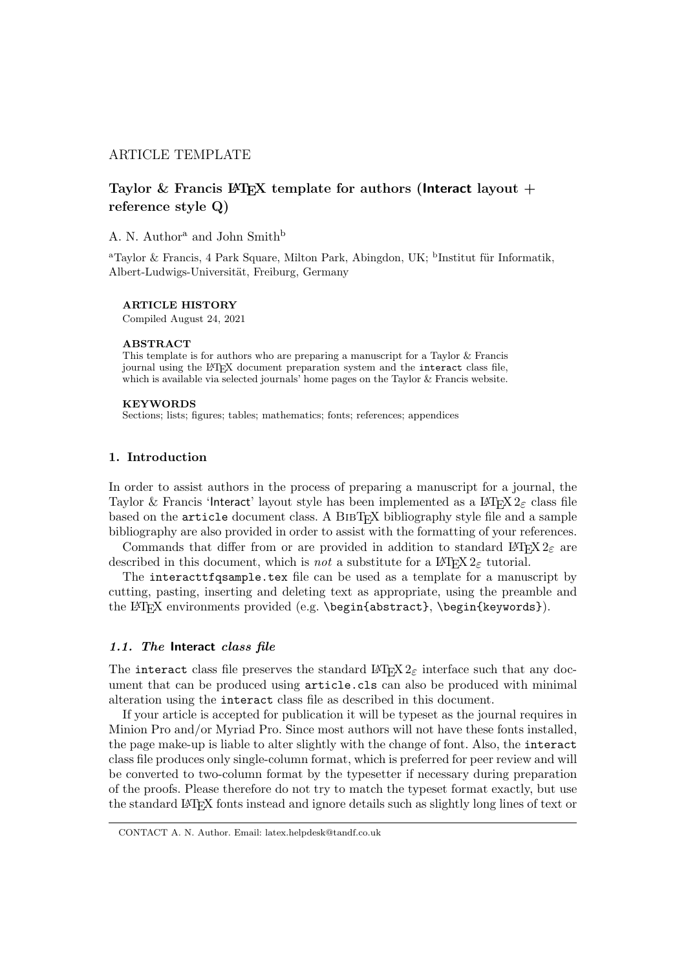# ARTICLE TEMPLATE

# Taylor & Francis LAT<sub>EX</sub> template for authors (Interact layout  $+$ reference style Q)

### A. N. Author<sup>a</sup> and John Smith<sup>b</sup>

<sup>a</sup>Taylor & Francis, 4 Park Square, Milton Park, Abingdon, UK; <sup>b</sup>Institut für Informatik, Albert-Ludwigs-Universität, Freiburg, Germany

#### ARTICLE HISTORY

Compiled August 24, 2021

#### ABSTRACT

This template is for authors who are preparing a manuscript for a Taylor & Francis journal using the LATEX document preparation system and the interact class file, which is available via selected journals' home pages on the Taylor & Francis website.

#### KEYWORDS

Sections; lists; figures; tables; mathematics; fonts; references; appendices

#### 1. Introduction

In order to assist authors in the process of preparing a manuscript for a journal, the Taylor & Francis 'Interact' layout style has been implemented as a LATEX  $2_{\epsilon}$  class file based on the article document class. A BIBT<sub>EX</sub> bibliography style file and a sample bibliography are also provided in order to assist with the formatting of your references.

Commands that differ from or are provided in addition to standard  $L^2T_FX2_{\mathcal{E}}$  are described in this document, which is not a substitute for a  $\mathbb{F}$ F<sub>E</sub>X  $2_{\epsilon}$  tutorial.

The interacttfqsample.tex file can be used as a template for a manuscript by cutting, pasting, inserting and deleting text as appropriate, using the preamble and the LATEX environments provided (e.g. \begin{abstract}, \begin{keywords}).

### 1.1. The Interact class file

The interact class file preserves the standard  $\mathbb{M}\mathbb{R}X$  2<sub> $\varepsilon$ </sub> interface such that any document that can be produced using article.cls can also be produced with minimal alteration using the interact class file as described in this document.

If your article is accepted for publication it will be typeset as the journal requires in Minion Pro and/or Myriad Pro. Since most authors will not have these fonts installed, the page make-up is liable to alter slightly with the change of font. Also, the interact class file produces only single-column format, which is preferred for peer review and will be converted to two-column format by the typesetter if necessary during preparation of the proofs. Please therefore do not try to match the typeset format exactly, but use the standard LATEX fonts instead and ignore details such as slightly long lines of text or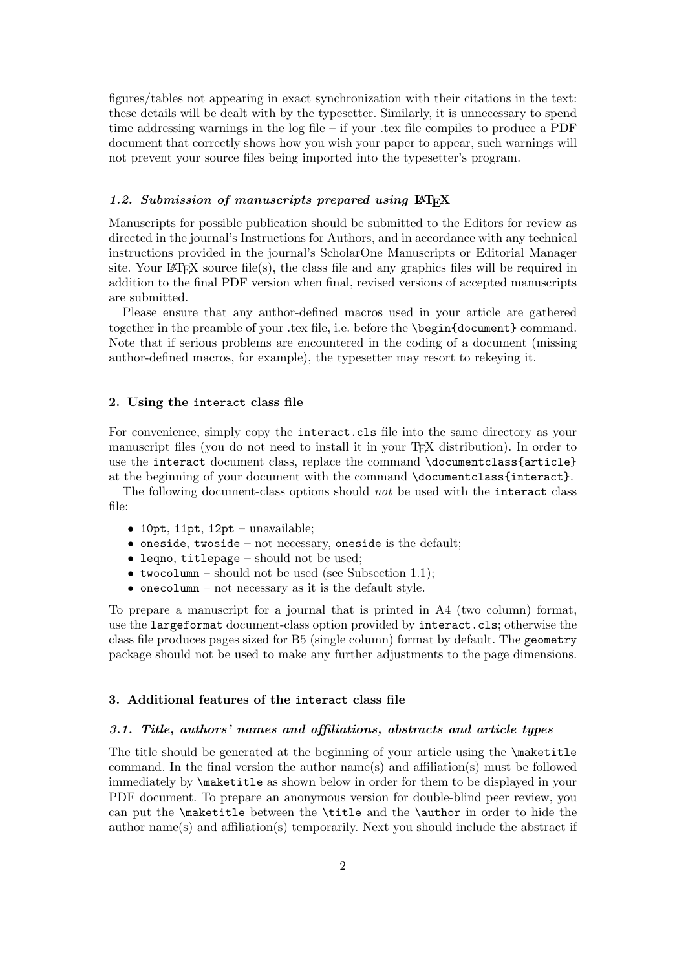figures/tables not appearing in exact synchronization with their citations in the text: these details will be dealt with by the typesetter. Similarly, it is unnecessary to spend time addressing warnings in the log file – if your .tex file compiles to produce a PDF document that correctly shows how you wish your paper to appear, such warnings will not prevent your source files being imported into the typesetter's program.

### 1.2. Submission of manuscripts prepared using  $\mathbb{F} \mathbb{F}$ X

Manuscripts for possible publication should be submitted to the Editors for review as directed in the journal's Instructions for Authors, and in accordance with any technical instructions provided in the journal's ScholarOne Manuscripts or Editorial Manager site. Your LAT<sub>EX</sub> source file(s), the class file and any graphics files will be required in addition to the final PDF version when final, revised versions of accepted manuscripts are submitted.

Please ensure that any author-defined macros used in your article are gathered together in the preamble of your .tex file, i.e. before the \begin{document} command. Note that if serious problems are encountered in the coding of a document (missing author-defined macros, for example), the typesetter may resort to rekeying it.

#### 2. Using the interact class file

For convenience, simply copy the interact.cls file into the same directory as your manuscript files (you do not need to install it in your T<sub>E</sub>X distribution). In order to use the interact document class, replace the command \documentclass{article} at the beginning of your document with the command \documentclass{interact}.

The following document-class options should not be used with the interact class file:

- 10pt, 11pt, 12pt unavailable;
- $\bullet$  oneside, twoside not necessary, oneside is the default;
- leqno, titlepage should not be used;
- two column should not be used (see Subsection 1.1);
- onecolumn not necessary as it is the default style.

To prepare a manuscript for a journal that is printed in A4 (two column) format, use the largeformat document-class option provided by interact.cls; otherwise the class file produces pages sized for B5 (single column) format by default. The geometry package should not be used to make any further adjustments to the page dimensions.

# 3. Additional features of the interact class file

#### 3.1. Title, authors' names and affiliations, abstracts and article types

The title should be generated at the beginning of your article using the **\maketitle** command. In the final version the author name(s) and affiliation(s) must be followed immediately by \maketitle as shown below in order for them to be displayed in your PDF document. To prepare an anonymous version for double-blind peer review, you can put the **\maketitle** between the **\title** and the **\author** in order to hide the author name(s) and affiliation(s) temporarily. Next you should include the abstract if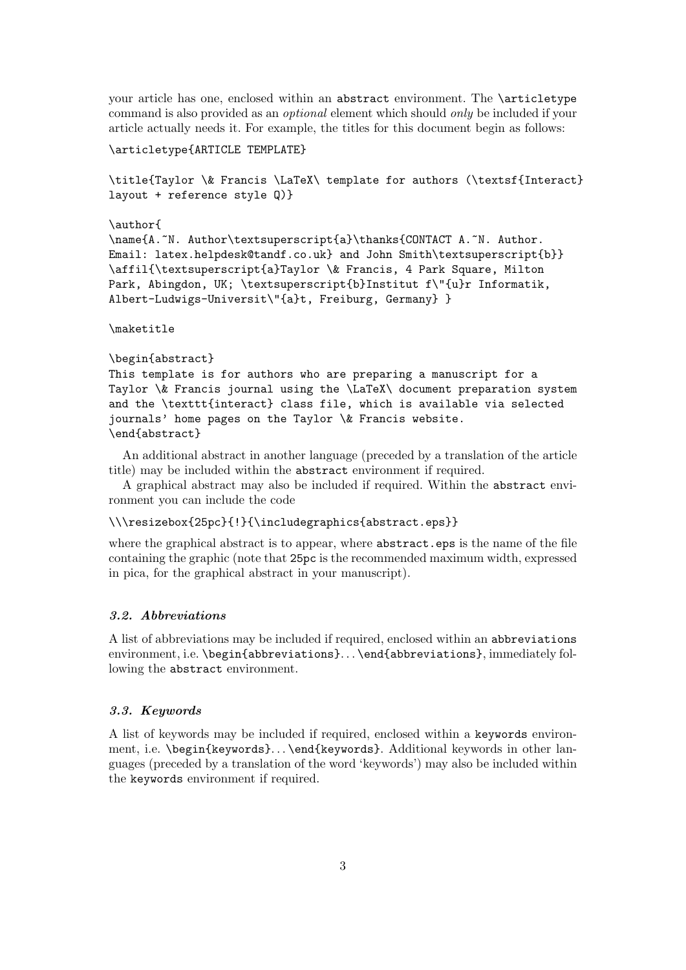your article has one, enclosed within an abstract environment. The \articletype command is also provided as an optional element which should only be included if your article actually needs it. For example, the titles for this document begin as follows:

```
\articletype{ARTICLE TEMPLATE}
```
\title{Taylor \& Francis \LaTeX\ template for authors (\textsf{Interact} layout + reference style Q)}

```
\author{
```
\name{A.~N. Author\textsuperscript{a}\thanks{CONTACT A.~N. Author. Email: latex.helpdesk@tandf.co.uk} and John Smith\textsuperscript{b}} \affil{\textsuperscript{a}Taylor \& Francis, 4 Park Square, Milton Park, Abingdon, UK; \textsuperscript{b}Institut f\"{u}r Informatik, Albert-Ludwigs-Universit\"{a}t, Freiburg, Germany} }

\maketitle

```
\begin{abstract}
```
This template is for authors who are preparing a manuscript for a Taylor \& Francis journal using the \LaTeX\ document preparation system and the \texttt{interact} class file, which is available via selected journals' home pages on the Taylor \& Francis website. \end{abstract}

An additional abstract in another language (preceded by a translation of the article title) may be included within the abstract environment if required.

A graphical abstract may also be included if required. Within the abstract environment you can include the code

\\\resizebox{25pc}{!}{\includegraphics{abstract.eps}}

where the graphical abstract is to appear, where abstract.eps is the name of the file containing the graphic (note that 25pc is the recommended maximum width, expressed in pica, for the graphical abstract in your manuscript).

## 3.2. Abbreviations

A list of abbreviations may be included if required, enclosed within an abbreviations environment, i.e. \begin{abbreviations}... \end{abbreviations}, immediately following the abstract environment.

## 3.3. Keywords

A list of keywords may be included if required, enclosed within a keywords environment, i.e. \begin{keywords}. . . \end{keywords}. Additional keywords in other languages (preceded by a translation of the word 'keywords') may also be included within the keywords environment if required.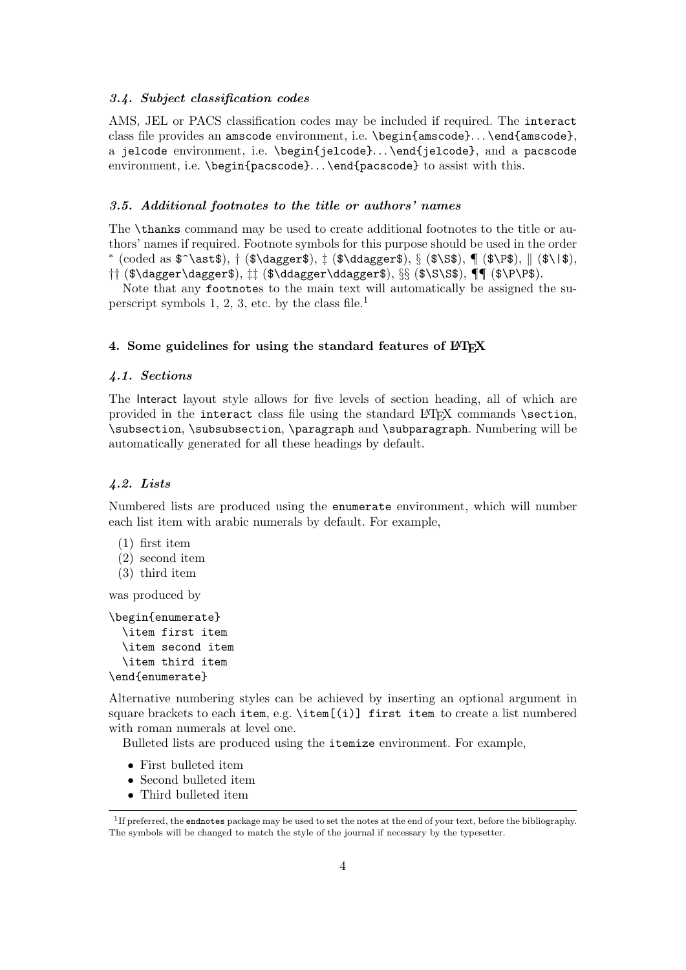## 3.4. Subject classification codes

AMS, JEL or PACS classification codes may be included if required. The interact class file provides an amscode environment, i.e. \begin{amscode}. . . \end{amscode}, a jelcode environment, i.e. \begin{jelcode}. . . \end{jelcode}, and a pacscode environment, i.e. \begin{pacscode}... \end{pacscode} to assist with this.

#### 3.5. Additional footnotes to the title or authors' names

The \thanks command may be used to create additional footnotes to the title or authors' names if required. Footnote symbols for this purpose should be used in the order ∗ (coded as \$^\ast\$), † (\$\dagger\$), ‡ (\$\ddagger\$), § (\$\S\$), ¶ (\$\P\$), k (\$\|\$), †† (\$\dagger\dagger\$), ‡‡ (\$\ddagger\ddagger\$), §§ (\$\S\S\$), ¶¶ (\$\P\P\$).

Note that any footnotes to the main text will automatically be assigned the superscript symbols 1, 2, 3, etc. by the class file. $<sup>1</sup>$ </sup>

#### 4. Some guidelines for using the standard features of LATEX

### 4.1. Sections

The Interact layout style allows for five levels of section heading, all of which are provided in the interact class file using the standard LATEX commands \section, \subsection, \subsubsection, \paragraph and \subparagraph. Numbering will be automatically generated for all these headings by default.

## 4.2. Lists

Numbered lists are produced using the enumerate environment, which will number each list item with arabic numerals by default. For example,

- (1) first item
- (2) second item
- (3) third item

was produced by

```
\begin{enumerate}
  \item first item
  \item second item
 \item third item
\end{enumerate}
```
Alternative numbering styles can be achieved by inserting an optional argument in square brackets to each item, e.g.  $\text{item}[(i)]$  first item to create a list numbered with roman numerals at level one.

Bulleted lists are produced using the itemize environment. For example,

- First bulleted item
- Second bulleted item
- Third bulleted item

<sup>1</sup> If preferred, the endnotes package may be used to set the notes at the end of your text, before the bibliography. The symbols will be changed to match the style of the journal if necessary by the typesetter.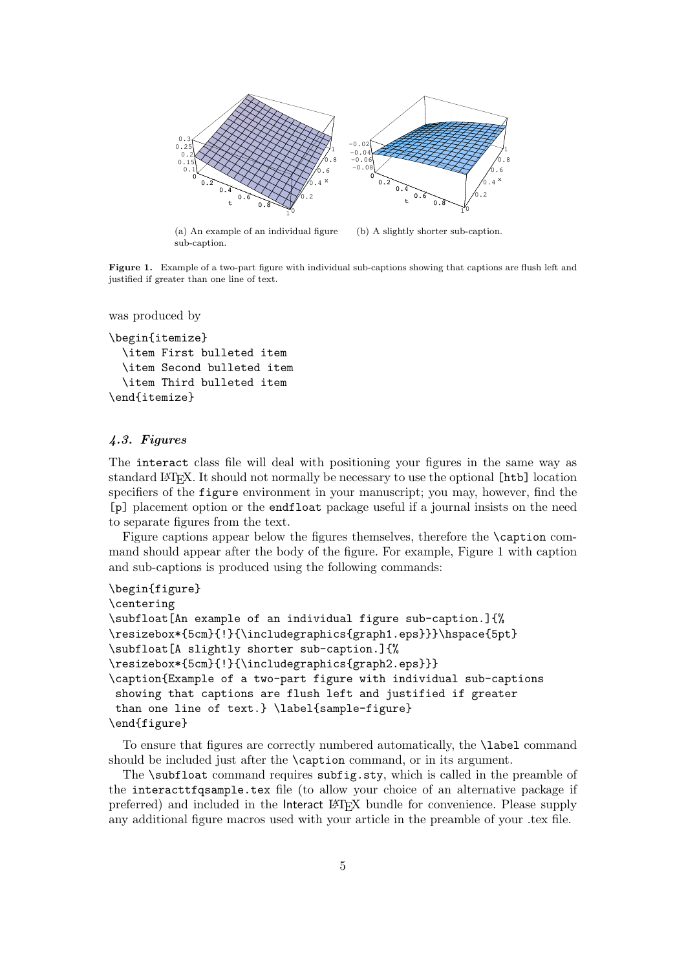

(a) An example of an individual figure sub-caption. (b) A slightly shorter sub-caption.

Figure 1. Example of a two-part figure with individual sub-captions showing that captions are flush left and justified if greater than one line of text.

```
was produced by
```

```
\begin{itemize}
  \item First bulleted item
 \item Second bulleted item
  \item Third bulleted item
\end{itemize}
```
## 4.3. Figures

The interact class file will deal with positioning your figures in the same way as standard LATEX. It should not normally be necessary to use the optional [htb] location specifiers of the figure environment in your manuscript; you may, however, find the [p] placement option or the endfloat package useful if a journal insists on the need to separate figures from the text.

Figure captions appear below the figures themselves, therefore the **\caption** command should appear after the body of the figure. For example, Figure 1 with caption and sub-captions is produced using the following commands:

```
\begin{figure}
\centering
\subfloat[An example of an individual figure sub-caption.]{%
\resizebox*{5cm}{!}{\includegraphics{graph1.eps}}}\hspace{5pt}
\subfloat[A slightly shorter sub-caption.]{%
\resizebox*{5cm}{!}{\includegraphics{graph2.eps}}}
\caption{Example of a two-part figure with individual sub-captions
showing that captions are flush left and justified if greater
than one line of text.} \label{sample-figure}
\end{figure}
```
To ensure that figures are correctly numbered automatically, the \label command should be included just after the \caption command, or in its argument.

The \subfloat command requires subfig.sty, which is called in the preamble of the interacttfqsample.tex file (to allow your choice of an alternative package if preferred) and included in the Interact LATEX bundle for convenience. Please supply any additional figure macros used with your article in the preamble of your .tex file.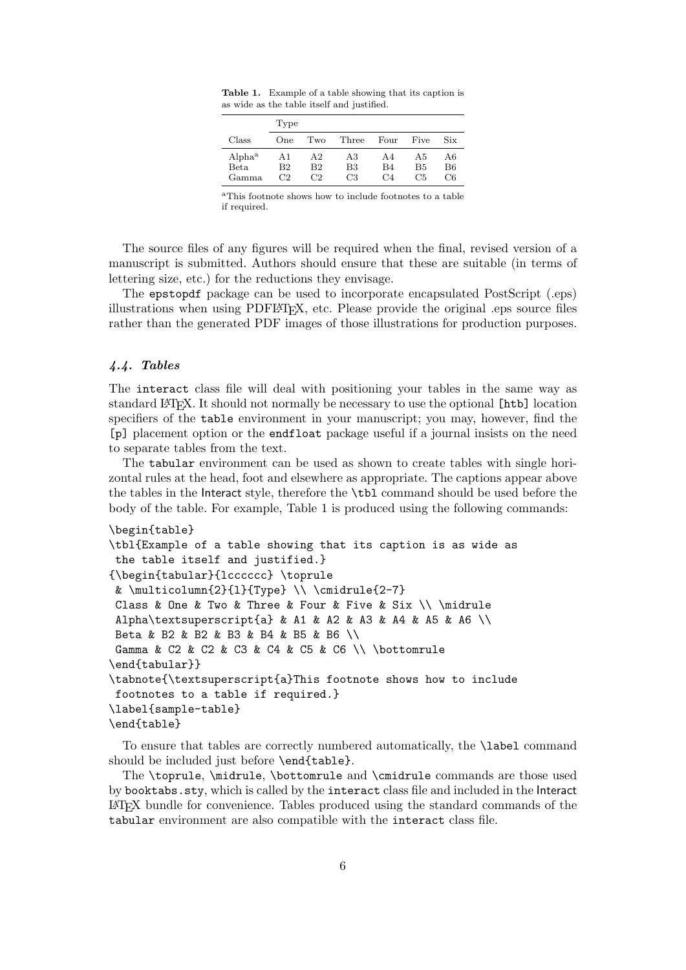|                    | Type           |                       |       |                |                |                |
|--------------------|----------------|-----------------------|-------|----------------|----------------|----------------|
| Class              | One            | Two                   | Three | Four           | Five           | Six            |
| Alpha <sup>a</sup> | A1             | A <sub>2</sub>        | A3    | A4             | A5             | A6             |
| Beta               | B <sub>2</sub> | <b>B</b> <sub>2</sub> | B3    | B4             | <b>B5</b>      | B <sub>6</sub> |
| Gamma              | C2             | C2                    | CЗ    | C <sub>4</sub> | C <sub>5</sub> | C6             |

Table 1. Example of a table showing that its caption is as wide as the table itself and justified.

<sup>a</sup>This footnote shows how to include footnotes to a table if required.

The source files of any figures will be required when the final, revised version of a manuscript is submitted. Authors should ensure that these are suitable (in terms of lettering size, etc.) for the reductions they envisage.

The epstopdf package can be used to incorporate encapsulated PostScript (.eps) illustrations when using PDFLATEX, etc. Please provide the original .eps source files rather than the generated PDF images of those illustrations for production purposes.

#### 4.4. Tables

The interact class file will deal with positioning your tables in the same way as standard LATEX. It should not normally be necessary to use the optional [htb] location specifiers of the table environment in your manuscript; you may, however, find the [p] placement option or the endfloat package useful if a journal insists on the need to separate tables from the text.

The tabular environment can be used as shown to create tables with single horizontal rules at the head, foot and elsewhere as appropriate. The captions appear above the tables in the Interact style, therefore the \tbl command should be used before the body of the table. For example, Table 1 is produced using the following commands:

#### \begin{table}

```
\tbl{Example of a table showing that its caption is as wide as
the table itself and justified.}
{\begin{tabular}{lcccccc} \toprule
& \multicolumn{2}{l}{Type} \\ \cmidrule{2-7}
Class & One & Two & Three & Four & Five & Six \\ \midrule
Alpha\textsuperscript{a} & A1 & A2 & A3 & A4 & A5 & A6 \\
Beta & B2 & B2 & B3 & B4 & B5 & B6 \\
Gamma & C2 & C2 & C3 & C4 & C5 & C6 \\ \bottomrule
\end{tabular}}
\tabnote{\textsuperscript{a}This footnote shows how to include
footnotes to a table if required.}
\label{sample-table}
\end{table}
```
To ensure that tables are correctly numbered automatically, the \label command should be included just before \end{table}.

The \toprule, \midrule, \bottomrule and \cmidrule commands are those used by booktabs.sty, which is called by the interact class file and included in the Interact LATEX bundle for convenience. Tables produced using the standard commands of the tabular environment are also compatible with the interact class file.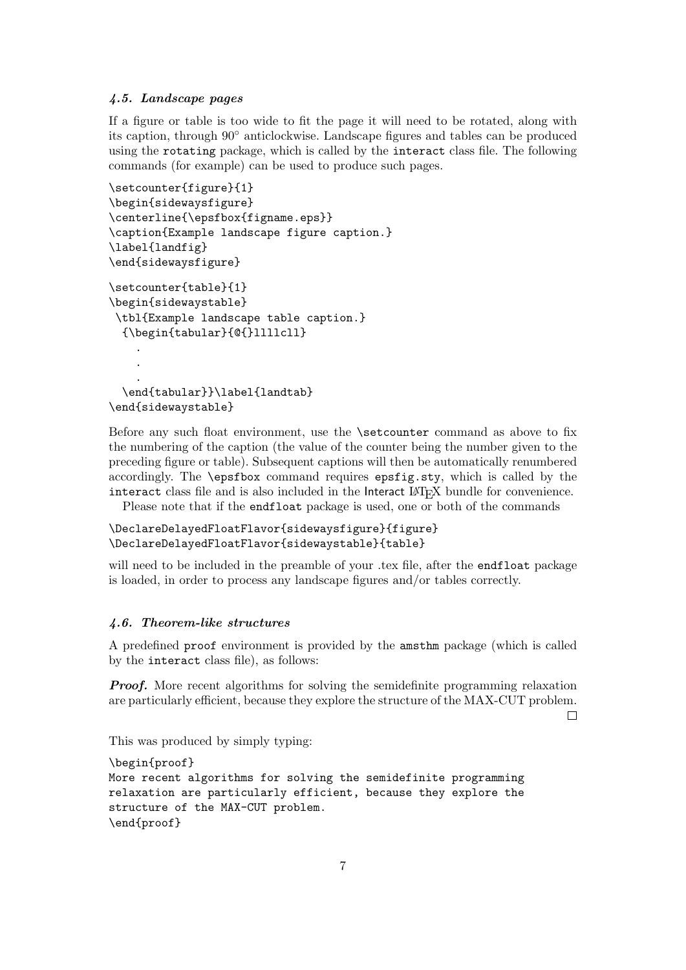## 4.5. Landscape pages

If a figure or table is too wide to fit the page it will need to be rotated, along with its caption, through 90◦ anticlockwise. Landscape figures and tables can be produced using the rotating package, which is called by the interact class file. The following commands (for example) can be used to produce such pages.

```
\setcounter{figure}{1}
\begin{sidewaysfigure}
\centerline{\epsfbox{figname.eps}}
\caption{Example landscape figure caption.}
\label{landfig}
\end{sidewaysfigure}
\setcounter{table}{1}
\begin{sidewaystable}
\tbl{Example landscape table caption.}
  {\begin{tabular}{@{}llllcll}
    .
    .
    .
  \end{tabular}}\label{landtab}
\end{sidewaystable}
```
Before any such float environment, use the \setcounter command as above to fix the numbering of the caption (the value of the counter being the number given to the preceding figure or table). Subsequent captions will then be automatically renumbered accordingly. The \epsfbox command requires epsfig.sty, which is called by the interact class file and is also included in the Interact LAT<sub>E</sub>X bundle for convenience.

Please note that if the endfloat package is used, one or both of the commands

## \DeclareDelayedFloatFlavor{sidewaysfigure}{figure} \DeclareDelayedFloatFlavor{sidewaystable}{table}

will need to be included in the preamble of your .tex file, after the **endfloat** package is loaded, in order to process any landscape figures and/or tables correctly.

#### 4.6. Theorem-like structures

A predefined proof environment is provided by the amsthm package (which is called by the interact class file), as follows:

**Proof.** More recent algorithms for solving the semidefinite programming relaxation are particularly efficient, because they explore the structure of the MAX-CUT problem.

 $\Box$ 

This was produced by simply typing:

```
\begin{proof}
More recent algorithms for solving the semidefinite programming
relaxation are particularly efficient, because they explore the
structure of the MAX-CUT problem.
\end{proof}
```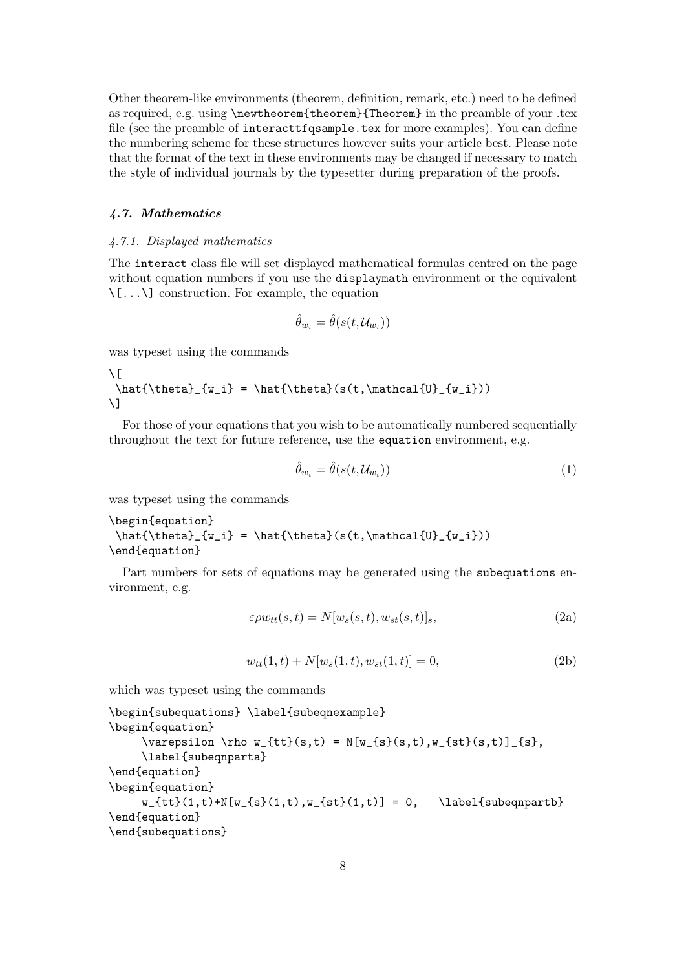Other theorem-like environments (theorem, definition, remark, etc.) need to be defined as required, e.g. using \newtheorem{theorem}{Theorem} in the preamble of your .tex file (see the preamble of interacttfqsample.tex for more examples). You can define the numbering scheme for these structures however suits your article best. Please note that the format of the text in these environments may be changed if necessary to match the style of individual journals by the typesetter during preparation of the proofs.

#### 4.7. Mathematics

#### 4.7.1. Displayed mathematics

The interact class file will set displayed mathematical formulas centred on the page without equation numbers if you use the displaymath environment or the equivalent  $\setminus$ [... $\setminus$ ] construction. For example, the equation

$$
\hat{\theta}_{w_i} = \hat{\theta}(s(t, \mathcal{U}_{w_i}))
$$

was typeset using the commands

```
\sqrt{ }\hat{\theta}_{w_i} = \hat{\theta}(s(t, \mathcal{U}_{w_i}))\setminus]
```
For those of your equations that you wish to be automatically numbered sequentially throughout the text for future reference, use the equation environment, e.g.

$$
\hat{\theta}_{w_i} = \hat{\theta}(s(t, \mathcal{U}_{w_i})) \tag{1}
$$

was typeset using the commands

```
\begin{equation}
\hat{\theta}_{w_i} = \hat{\theta}(s(t, \mathcal{U}_{w_i}))\end{equation}
```
Part numbers for sets of equations may be generated using the subequations environment, e.g.

$$
\varepsilon \rho w_{tt}(s,t) = N[w_s(s,t), w_{st}(s,t)]_s,
$$
\n(2a)

$$
w_{tt}(1,t) + N[w_s(1,t), w_{st}(1,t)] = 0,
$$
\n(2b)

which was typeset using the commands

```
\begin{subequations} \label{subeqnexample}
\begin{equation}
     \varepsilon \rho w_{tt}(s,t) = N[w_{s}(s,t),w_{st}(s,t)]_{s},
     \label{subeqnparta}
\end{equation}
\begin{equation}
     w_{tt}(1,t)+N[w_{s}(1,t),w_{st}(1,t)] = 0, \ \ \ldots {st}(1,t)}
\end{equation}
\end{subequations}
```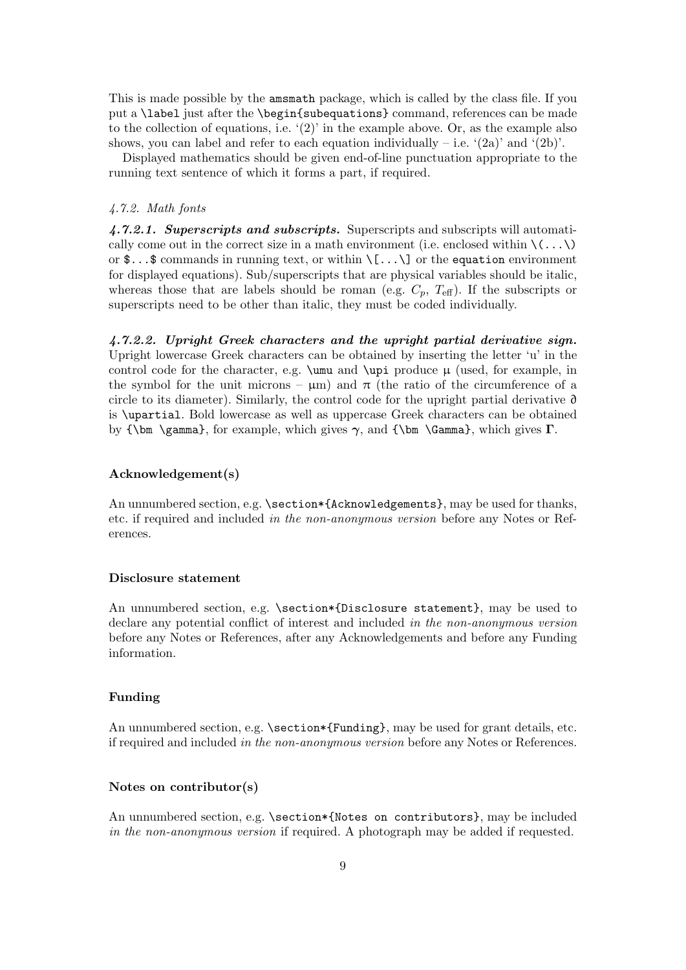This is made possible by the amsmath package, which is called by the class file. If you put a \label just after the \begin{subequations} command, references can be made to the collection of equations, i.e.  $(2)$  in the example above. Or, as the example also shows, you can label and refer to each equation individually – i.e.  $(2a)'$  and  $(2b)'$ .

Displayed mathematics should be given end-of-line punctuation appropriate to the running text sentence of which it forms a part, if required.

#### 4.7.2. Math fonts

4.7.2.1. Superscripts and subscripts. Superscripts and subscripts will automatically come out in the correct size in a math environment (i.e. enclosed within  $\langle \ldots \rangle$ ) or  $\mathcal{F}$ ...\$ commands in running text, or within  $\langle [\ldots \rangle]$  or the equation environment for displayed equations). Sub/superscripts that are physical variables should be italic, whereas those that are labels should be roman (e.g.  $C_p$ ,  $T_{\text{eff}}$ ). If the subscripts or superscripts need to be other than italic, they must be coded individually.

4.7.2.2. Upright Greek characters and the upright partial derivative sign. Upright lowercase Greek characters can be obtained by inserting the letter 'u' in the control code for the character, e.g.  $\umu$  and  $\upmu$  produce  $\mu$  (used, for example, in the symbol for the unit microns –  $\mu$ m) and  $\pi$  (the ratio of the circumference of a circle to its diameter). Similarly, the control code for the upright partial derivative ∂ is \upartial. Bold lowercase as well as uppercase Greek characters can be obtained by  ${\bf \Omega},$  for example, which gives  $\gamma$ , and  ${\bf \Gamma},$  which gives Γ.

#### Acknowledgement(s)

An unnumbered section, e.g.  $\sec t$  and  $\csc t$  and  $\csc t$  and  $\csc t$  and  $\csc t$  and  $\csc t$ etc. if required and included in the non-anonymous version before any Notes or References.

#### Disclosure statement

An unnumbered section, e.g. \section\*{Disclosure statement}, may be used to declare any potential conflict of interest and included in the non-anonymous version before any Notes or References, after any Acknowledgements and before any Funding information.

#### Funding

An unnumbered section, e.g.  $\setminus$  section\*{Funding}, may be used for grant details, etc. if required and included in the non-anonymous version before any Notes or References.

#### Notes on contributor(s)

An unnumbered section, e.g. \section\*{Notes on contributors}, may be included in the non-anonymous version if required. A photograph may be added if requested.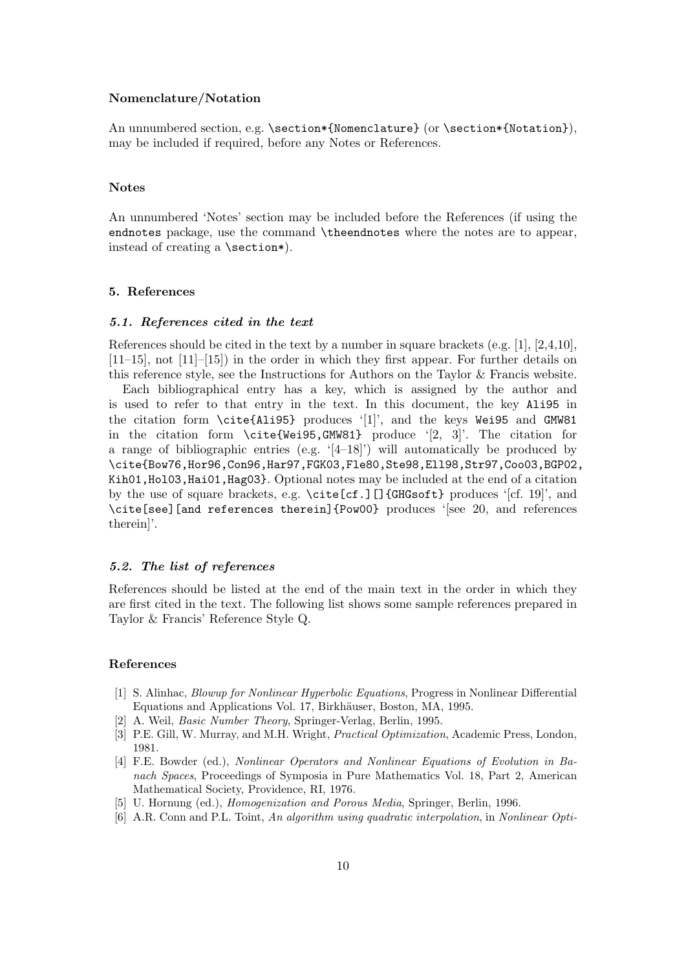## Nomenclature/Notation

An unnumbered section, e.g. \section\*{Nomenclature} (or \section\*{Notation}), may be included if required, before any Notes or References.

#### Notes

An unnumbered 'Notes' section may be included before the References (if using the endnotes package, use the command \theendnotes where the notes are to appear, instead of creating a \section\*).

#### 5. References

#### 5.1. References cited in the text

References should be cited in the text by a number in square brackets (e.g.  $[1], [2,4,10],$  $[11–15]$ , not  $[11]–[15]$ ) in the order in which they first appear. For further details on this reference style, see the Instructions for Authors on the Taylor & Francis website.

Each bibliographical entry has a key, which is assigned by the author and is used to refer to that entry in the text. In this document, the key Ali95 in the citation form \cite{Ali95} produces '[1]', and the keys Wei95 and GMW81 in the citation form \cite{Wei95,GMW81} produce '[2, 3]'. The citation for a range of bibliographic entries (e.g.  $(4-18)$ ) will automatically be produced by \cite{Bow76,Hor96,Con96,Har97,FGK03,Fle80,Ste98,Ell98,Str97,Coo03,BGP02, Kih01,Hol03,Hai01,Hag03}. Optional notes may be included at the end of a citation by the use of square brackets, e.g.  $\c{cite[cf.]}$ ][]{GHGsoft} produces '[cf. 19]', and \cite[see][and references therein]{Pow00} produces '[see 20, and references therein]'.

#### 5.2. The list of references

References should be listed at the end of the main text in the order in which they are first cited in the text. The following list shows some sample references prepared in Taylor & Francis' Reference Style Q.

#### References

- [1] S. Alinhac, Blowup for Nonlinear Hyperbolic Equations, Progress in Nonlinear Differential Equations and Applications Vol. 17, Birkhäuser, Boston, MA, 1995.
- [2] A. Weil, Basic Number Theory, Springer-Verlag, Berlin, 1995.
- [3] P.E. Gill, W. Murray, and M.H. Wright, Practical Optimization, Academic Press, London, 1981.
- [4] F.E. Bowder (ed.), Nonlinear Operators and Nonlinear Equations of Evolution in Banach Spaces, Proceedings of Symposia in Pure Mathematics Vol. 18, Part 2, American Mathematical Society, Providence, RI, 1976.
- [5] U. Hornung (ed.), Homogenization and Porous Media, Springer, Berlin, 1996.
- [6] A.R. Conn and P.L. Toint, An algorithm using quadratic interpolation, in Nonlinear Opti-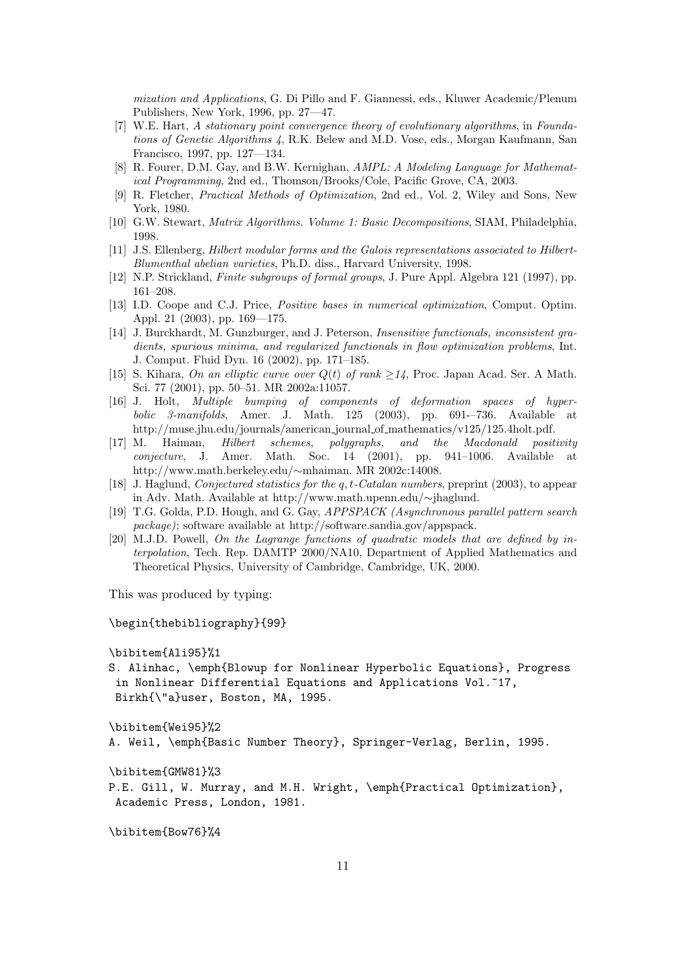mization and Applications, G. Di Pillo and F. Giannessi, eds., Kluwer Academic/Plenum Publishers, New York, 1996, pp. 27—47.

- [7] W.E. Hart, A stationary point convergence theory of evolutionary algorithms, in Foundations of Genetic Algorithms 4, R.K. Belew and M.D. Vose, eds., Morgan Kaufmann, San Francisco, 1997, pp. 127—134.
- [8] R. Fourer, D.M. Gay, and B.W. Kernighan, AMPL: A Modeling Language for Mathematical Programming, 2nd ed., Thomson/Brooks/Cole, Pacific Grove, CA, 2003.
- [9] R. Fletcher, Practical Methods of Optimization, 2nd ed., Vol. 2, Wiley and Sons, New York, 1980.
- [10] G.W. Stewart, Matrix Algorithms. Volume 1: Basic Decompositions, SIAM, Philadelphia, 1998.
- [11] J.S. Ellenberg, Hilbert modular forms and the Galois representations associated to Hilbert-Blumenthal abelian varieties, Ph.D. diss., Harvard University, 1998.
- [12] N.P. Strickland, Finite subgroups of formal groups, J. Pure Appl. Algebra 121 (1997), pp. 161–208.
- [13] I.D. Coope and C.J. Price, Positive bases in numerical optimization, Comput. Optim. Appl. 21 (2003), pp. 169—175.
- [14] J. Burckhardt, M. Gunzburger, and J. Peterson, Insensitive functionals, inconsistent gradients, spurious minima, and regularized functionals in flow optimization problems, Int. J. Comput. Fluid Dyn. 16 (2002), pp. 171–185.
- [15] S. Kihara, On an elliptic curve over  $Q(t)$  of rank  $\geq 14$ , Proc. Japan Acad. Ser. A Math. Sci. 77 (2001), pp. 50–51. MR 2002a:11057.
- [16] J. Holt, Multiple bumping of components of deformation spaces of hyperbolic 3-manifolds, Amer. J. Math. 125 (2003), pp. 691-–736. Available at http://muse.jhu.edu/journals/american journal of mathematics/v125/125.4holt.pdf.
- [17] M. Haiman, Hilbert schemes, polygraphs, and the Macdonald positivity conjecture, J. Amer. Math. Soc. 14 (2001), pp. 941–1006. Available at http://www.math.berkeley.edu/∼mhaiman. MR 2002c:14008.
- [18] J. Haglund, Conjectured statistics for the q, t-Catalan numbers, preprint (2003), to appear in Adv. Math. Available at http://www.math.upenn.edu/∼jhaglund.
- [19] T.G. Golda, P.D. Hough, and G. Gay, APPSPACK (Asynchronous parallel pattern search package); software available at http://software.sandia.gov/appspack.
- [20] M.J.D. Powell, On the Lagrange functions of quadratic models that are defined by interpolation, Tech. Rep. DAMTP 2000/NA10, Department of Applied Mathematics and Theoretical Physics, University of Cambridge, Cambridge, UK, 2000.

This was produced by typing:

\begin{thebibliography}{99}

```
\bibitem{Ali95}%1
```
S. Alinhac, \emph{Blowup for Nonlinear Hyperbolic Equations}, Progress in Nonlinear Differential Equations and Applications Vol.<sup>~17</sup>, Birkh{\"a}user, Boston, MA, 1995.

```
\bibitem{Wei95}%2
```

```
A. Weil, \emph{Basic Number Theory}, Springer-Verlag, Berlin, 1995.
```
\bibitem{GMW81}%3

P.E. Gill, W. Murray, and M.H. Wright, \emph{Practical Optimization}, Academic Press, London, 1981.

\bibitem{Bow76}%4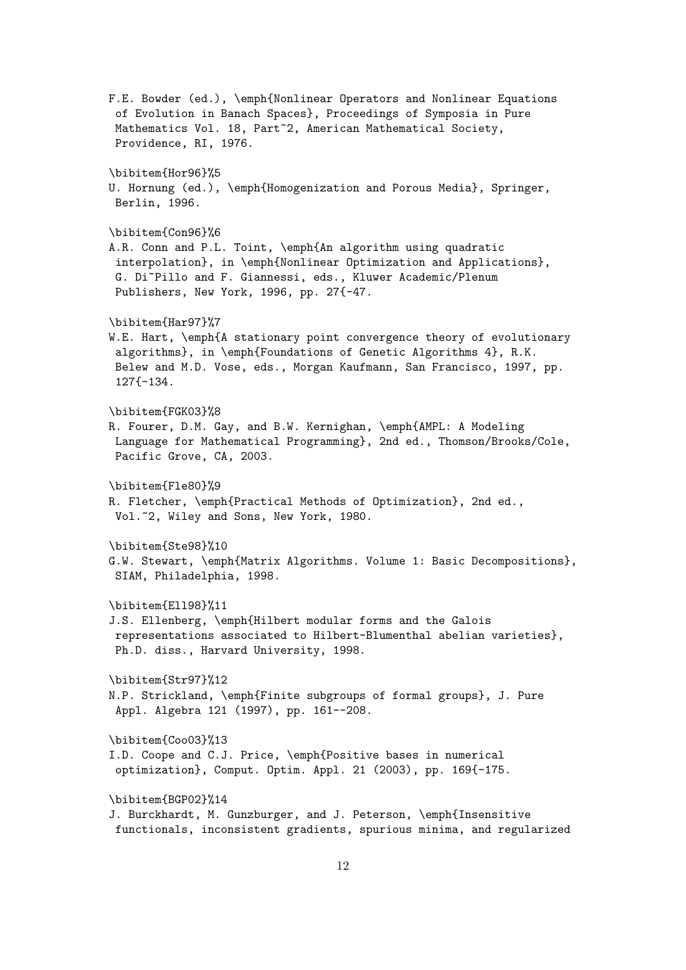F.E. Bowder (ed.), \emph{Nonlinear Operators and Nonlinear Equations of Evolution in Banach Spaces}, Proceedings of Symposia in Pure Mathematics Vol. 18, Part<sup>~</sup>2, American Mathematical Society, Providence, RI, 1976. \bibitem{Hor96}%5 U. Hornung (ed.), \emph{Homogenization and Porous Media}, Springer, Berlin, 1996. \bibitem{Con96}%6 A.R. Conn and P.L. Toint, \emph{An algorithm using quadratic interpolation}, in \emph{Nonlinear Optimization and Applications}, G. Di~Pillo and F. Giannessi, eds., Kluwer Academic/Plenum Publishers, New York, 1996, pp. 27{-47. \bibitem{Har97}%7 W.E. Hart, \emph{A stationary point convergence theory of evolutionary algorithms}, in \emph{Foundations of Genetic Algorithms 4}, R.K. Belew and M.D. Vose, eds., Morgan Kaufmann, San Francisco, 1997, pp. 127{-134. \bibitem{FGK03}%8 R. Fourer, D.M. Gay, and B.W. Kernighan, \emph{AMPL: A Modeling Language for Mathematical Programming}, 2nd ed., Thomson/Brooks/Cole, Pacific Grove, CA, 2003. \bibitem{Fle80}%9 R. Fletcher, \emph{Practical Methods of Optimization}, 2nd ed., Vol.~2, Wiley and Sons, New York, 1980. \bibitem{Ste98}%10 G.W. Stewart, \emph{Matrix Algorithms. Volume 1: Basic Decompositions}, SIAM, Philadelphia, 1998. \bibitem{Ell98}%11 J.S. Ellenberg, \emph{Hilbert modular forms and the Galois representations associated to Hilbert-Blumenthal abelian varieties}, Ph.D. diss., Harvard University, 1998. \bibitem{Str97}%12 N.P. Strickland, \emph{Finite subgroups of formal groups}, J. Pure Appl. Algebra 121 (1997), pp. 161--208. \bibitem{Coo03}%13 I.D. Coope and C.J. Price, \emph{Positive bases in numerical optimization}, Comput. Optim. Appl. 21 (2003), pp. 169{-175. \bibitem{BGP02}%14 J. Burckhardt, M. Gunzburger, and J. Peterson, \emph{Insensitive functionals, inconsistent gradients, spurious minima, and regularized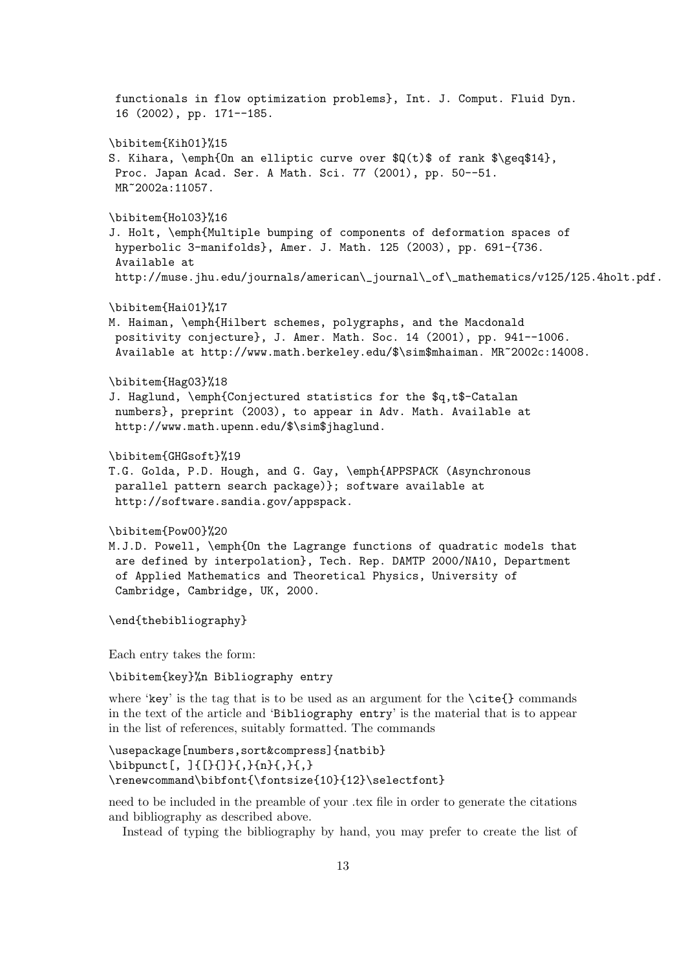functionals in flow optimization problems}, Int. J. Comput. Fluid Dyn. 16 (2002), pp. 171--185. \bibitem{Kih01}%15 S. Kihara, \emph{On an elliptic curve over  $(Q(t)$ \$ of rank \$\geq\$14}, Proc. Japan Acad. Ser. A Math. Sci. 77 (2001), pp. 50--51. MR~2002a:11057. \bibitem{Hol03}%16 J. Holt, \emph{Multiple bumping of components of deformation spaces of hyperbolic 3-manifolds}, Amer. J. Math. 125 (2003), pp. 691-{736. Available at http://muse.jhu.edu/journals/american\\_journal\\_of\\_mathematics/v125/125.4holt.pdf. \bibitem{Hai01}%17 M. Haiman, \emph{Hilbert schemes, polygraphs, and the Macdonald positivity conjecture}, J. Amer. Math. Soc. 14 (2001), pp. 941--1006. Available at http://www.math.berkeley.edu/\$\sim\$mhaiman. MR~2002c:14008. \bibitem{Hag03}%18 J. Haglund, \emph{Conjectured statistics for the \$q,t\$-Catalan numbers}, preprint (2003), to appear in Adv. Math. Available at http://www.math.upenn.edu/\$\sim\$jhaglund. \bibitem{GHGsoft}%19 T.G. Golda, P.D. Hough, and G. Gay, \emph{APPSPACK (Asynchronous parallel pattern search package)}; software available at http://software.sandia.gov/appspack. \bibitem{Pow00}%20 M.J.D. Powell, \emph{On the Lagrange functions of quadratic models that are defined by interpolation}, Tech. Rep. DAMTP 2000/NA10, Department of Applied Mathematics and Theoretical Physics, University of Cambridge, Cambridge, UK, 2000. \end{thebibliography} Each entry takes the form: \bibitem{key}%n Bibliography entry where 'key' is the tag that is to be used as an argument for the  $\cite{}$  commands in the text of the article and 'Bibliography entry' is the material that is to appear in the list of references, suitably formatted. The commands \usepackage[numbers,sort&compress]{natbib} \bibpunct[, ]{[}{]}{,}{n}{,}{,} \renewcommand\bibfont{\fontsize{10}{12}\selectfont}

need to be included in the preamble of your .tex file in order to generate the citations and bibliography as described above.

Instead of typing the bibliography by hand, you may prefer to create the list of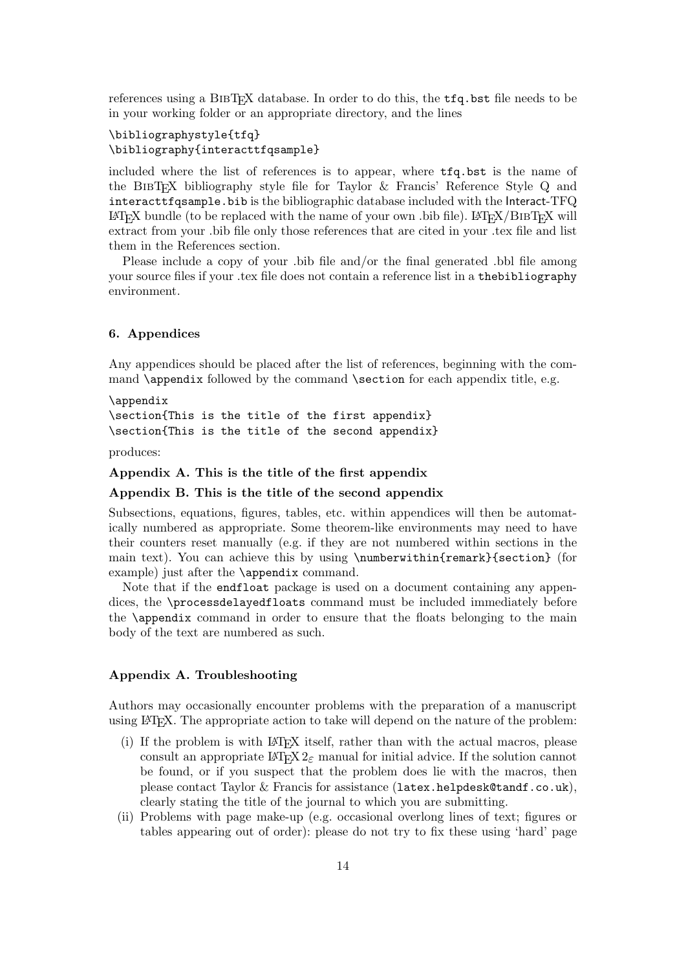references using a BibTEX database. In order to do this, the tfq.bst file needs to be in your working folder or an appropriate directory, and the lines

## \bibliographystyle{tfq} \bibliography{interacttfqsample}

included where the list of references is to appear, where tfq.bst is the name of the BibTEX bibliography style file for Taylor & Francis' Reference Style Q and interacttfqsample.bib is the bibliographic database included with the Interact-TFQ  $\Delta E$ FEX bundle (to be replaced with the name of your own .bib file). LATEX/BIBTEX will extract from your .bib file only those references that are cited in your .tex file and list them in the References section.

Please include a copy of your .bib file and/or the final generated .bbl file among your source files if your .tex file does not contain a reference list in a thebibliography environment.

## 6. Appendices

Any appendices should be placed after the list of references, beginning with the command \appendix followed by the command \section for each appendix title, e.g.

\appendix \section{This is the title of the first appendix} \section{This is the title of the second appendix}

produces:

## Appendix A. This is the title of the first appendix

#### Appendix B. This is the title of the second appendix

Subsections, equations, figures, tables, etc. within appendices will then be automatically numbered as appropriate. Some theorem-like environments may need to have their counters reset manually (e.g. if they are not numbered within sections in the main text). You can achieve this by using \numberwithin{remark}{section} (for example) just after the \appendix command.

Note that if the endfloat package is used on a document containing any appendices, the \processdelayedfloats command must be included immediately before the \appendix command in order to ensure that the floats belonging to the main body of the text are numbered as such.

### Appendix A. Troubleshooting

Authors may occasionally encounter problems with the preparation of a manuscript using LATEX. The appropriate action to take will depend on the nature of the problem:

- (i) If the problem is with LATEX itself, rather than with the actual macros, please consult an appropriate  $\text{LATEX} 2_{\epsilon}$  manual for initial advice. If the solution cannot be found, or if you suspect that the problem does lie with the macros, then please contact Taylor & Francis for assistance (latex.helpdesk@tandf.co.uk), clearly stating the title of the journal to which you are submitting.
- (ii) Problems with page make-up (e.g. occasional overlong lines of text; figures or tables appearing out of order): please do not try to fix these using 'hard' page